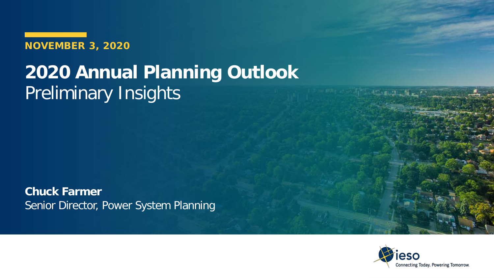**NOVEMBER 3, 2020**

## **2020 Annual Planning Outlook** Preliminary Insights

**Chuck Farmer** Senior Director, Power System Planning

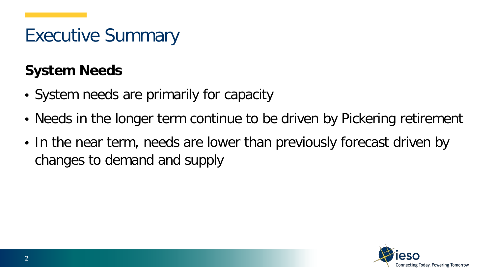#### **System Needs**

- System needs are primarily for capacity
- Needs in the longer term continue to be driven by Pickering retirement
- In the near term, needs are lower than previously forecast driven by changes to demand and supply

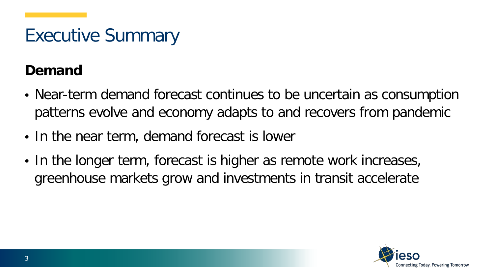#### **Demand**

- Near-term demand forecast continues to be uncertain as consumption patterns evolve and economy adapts to and recovers from pandemic
- In the near term, demand forecast is lower
- In the longer term, forecast is higher as remote work increases, greenhouse markets grow and investments in transit accelerate

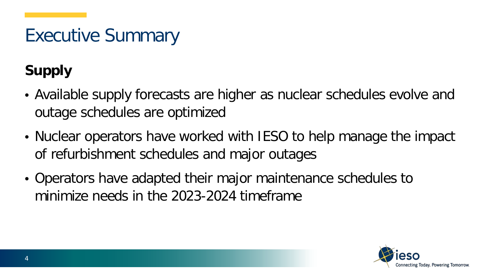#### **Supply**

- Available supply forecasts are higher as nuclear schedules evolve and outage schedules are optimized
- Nuclear operators have worked with IESO to help manage the impact of refurbishment schedules and major outages
- Operators have adapted their major maintenance schedules to minimize needs in the 2023-2024 timeframe

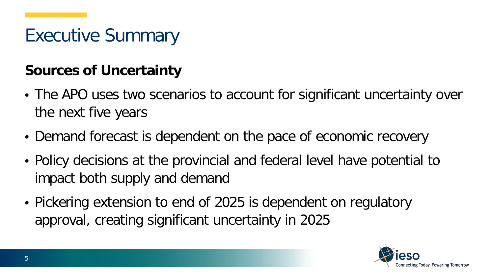#### **Sources of Uncertainty**

- The APO uses two scenarios to account for significant uncertainty over the next five years
- Demand forecast is dependent on the pace of economic recovery
- Policy decisions at the provincial and federal level have potential to impact both supply and demand
- Pickering extension to end of 2025 is dependent on regulatory approval, creating significant uncertainty in 2025

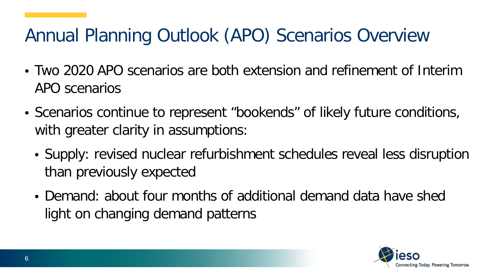## Annual Planning Outlook (APO) Scenarios Overview

- Two 2020 APO scenarios are both extension and refinement of Interim APO scenarios
- Scenarios continue to represent "bookends" of likely future conditions, with greater clarity in assumptions:
	- Supply: revised nuclear refurbishment schedules reveal less disruption than previously expected
	- Demand: about four months of additional demand data have shed light on changing demand patterns

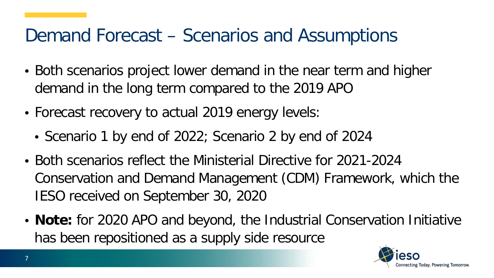#### Demand Forecast – Scenarios and Assumptions

- Both scenarios project lower demand in the near term and higher demand in the long term compared to the 2019 APO
- Forecast recovery to actual 2019 energy levels:
	- Scenario 1 by end of 2022; Scenario 2 by end of 2024
- Both scenarios reflect the Ministerial Directive for 2021-2024 Conservation and Demand Management (CDM) Framework, which the IESO received on September 30, 2020
- **Note:** for 2020 APO and beyond, the Industrial Conservation Initiative has been repositioned as a supply side resource

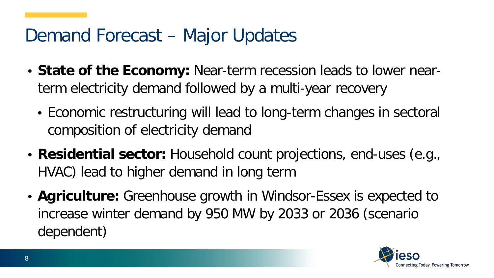#### Demand Forecast – Major Updates

- **State of the Economy:** Near-term recession leads to lower nearterm electricity demand followed by a multi-year recovery
	- Economic restructuring will lead to long-term changes in sectoral composition of electricity demand
- **Residential sector:** Household count projections, end-uses (e.g., HVAC) lead to higher demand in long term
- **Agriculture:** Greenhouse growth in Windsor-Essex is expected to increase winter demand by 950 MW by 2033 or 2036 (scenario dependent)

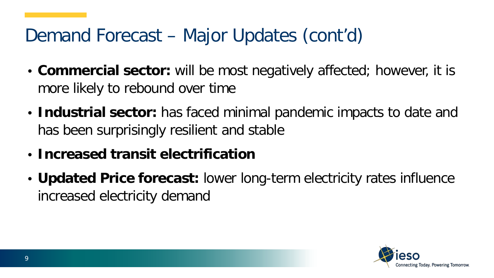## Demand Forecast – Major Updates (cont'd)

- **Commercial sector:** will be most negatively affected; however, it is more likely to rebound over time
- **Industrial sector:** has faced minimal pandemic impacts to date and has been surprisingly resilient and stable
- **Increased transit electrification**
- **Updated Price forecast:** lower long-term electricity rates influence increased electricity demand

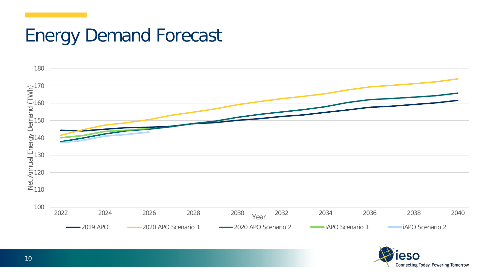### Energy Demand Forecast



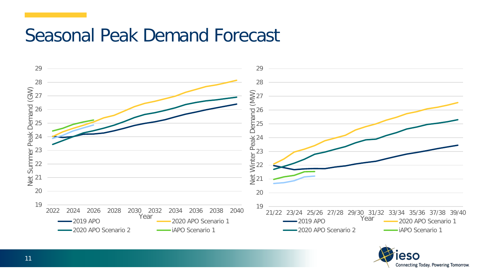#### Seasonal Peak Demand Forecast



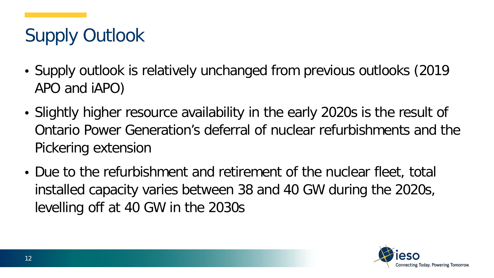# Supply Outlook

- Supply outlook is relatively unchanged from previous outlooks (2019 APO and iAPO)
- Slightly higher resource availability in the early 2020s is the result of Ontario Power Generation's deferral of nuclear refurbishments and the Pickering extension
- Due to the refurbishment and retirement of the nuclear fleet, total installed capacity varies between 38 and 40 GW during the 2020s, levelling off at 40 GW in the 2030s

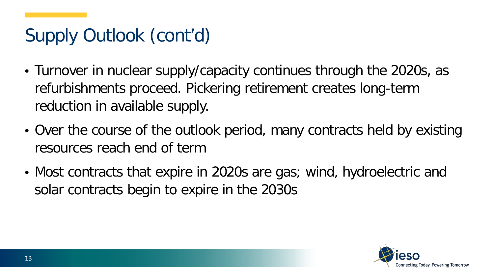# Supply Outlook (cont'd)

- Turnover in nuclear supply/capacity continues through the 2020s, as refurbishments proceed. Pickering retirement creates long-term reduction in available supply.
- Over the course of the outlook period, many contracts held by existing resources reach end of term
- Most contracts that expire in 2020s are gas; wind, hydroelectric and solar contracts begin to expire in the 2030s

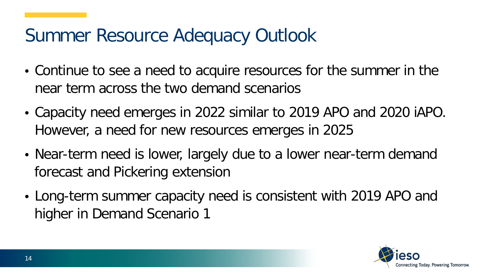### Summer Resource Adequacy Outlook

- Continue to see a need to acquire resources for the summer in the near term across the two demand scenarios
- Capacity need emerges in 2022 similar to 2019 APO and 2020 iAPO. However, a need for new resources emerges in 2025
- Near-term need is lower, largely due to a lower near-term demand forecast and Pickering extension
- Long-term summer capacity need is consistent with 2019 APO and higher in Demand Scenario 1